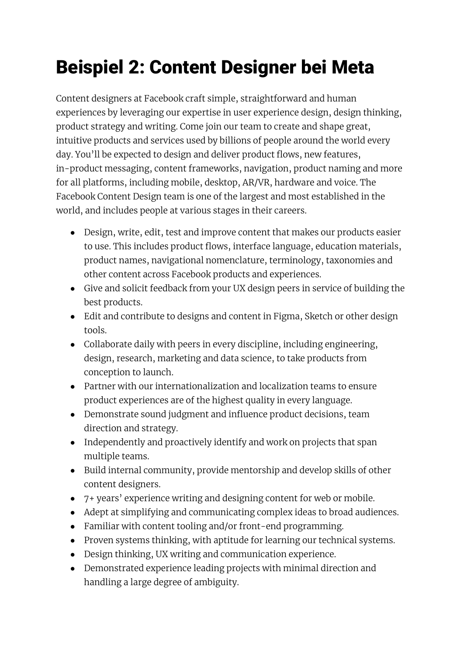## Beispiel 2: Content Designer bei Meta

Content designers at Facebook craft simple, straightforward and human experiences by leveraging our expertise in user experience design, design thinking, product strategy and writing. Come join our team to create and shape great, intuitive products and services used by billions of people around the world every day. You'll be expected to design and deliver product flows, new features, in-product messaging, content frameworks, navigation, product naming and more for all platforms, including mobile, desktop, AR/VR, hardware and voice. The Facebook Content Design team is one of the largest and most established in the world, and includes people at various stages in their careers.

- Design, write, edit, test and improve content that makes our products easier to use. This includes product flows, interface language, education materials, product names, navigational nomenclature, terminology, taxonomies and other content across Facebook products and experiences.
- Give and solicit feedback from your UX design peers in service of building the best products.
- Edit and contribute to designs and content in Figma, Sketch or other design tools.
- Collaborate daily with peers in every discipline, including engineering, design, research, marketing and data science, to take products from conception to launch.
- Partner with our internationalization and localization teams to ensure product experiences are of the highest quality in every language.
- Demonstrate sound judgment and influence product decisions, team direction and strategy.
- Independently and proactively identify and work on projects that span multiple teams.
- Build internal community, provide mentorship and develop skills of other content designers.
- 7+ years' experience writing and designing content for web or mobile.
- Adept at simplifying and communicating complex ideas to broad audiences.
- Familiar with content tooling and/or front-end programming.
- Proven systems thinking, with aptitude for learning our technical systems.
- Design thinking, UX writing and communication experience.
- Demonstrated experience leading projects with minimal direction and handling a large degree of ambiguity.